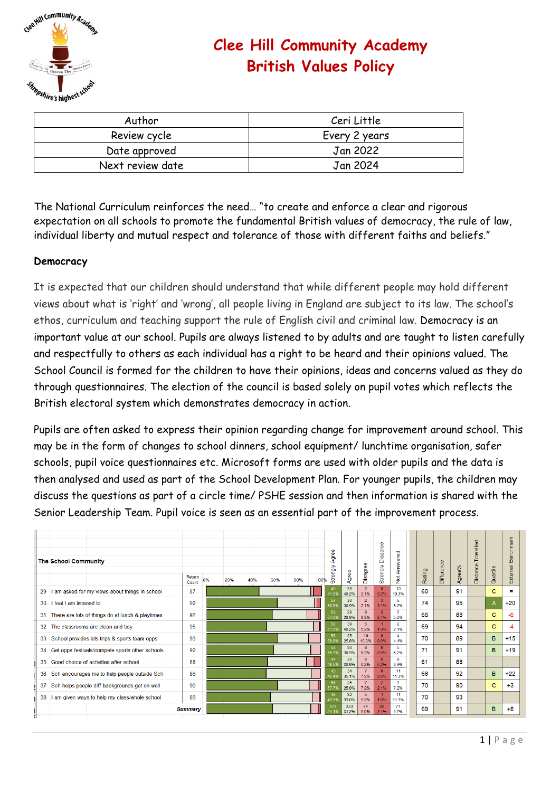

# **Clee Hill Community Academy British Values Policy**

| Author           | Ceri Little   |  |  |  |  |  |  |  |
|------------------|---------------|--|--|--|--|--|--|--|
| Review cycle     | Every 2 years |  |  |  |  |  |  |  |
| Date approved    | Jan 2022      |  |  |  |  |  |  |  |
| Next review date | Jan 2024      |  |  |  |  |  |  |  |

The National Curriculum reinforces the need… "to create and enforce a clear and rigorous expectation on all schools to promote the fundamental British values of democracy, the rule of law, individual liberty and mutual respect and tolerance of those with different faiths and beliefs."

# **Democracy**

It is expected that our children should understand that while different people may hold different views about what is 'right' and 'wrong', all people living in England are subject to its law. The school's ethos, curriculum and teaching support the rule of English civil and criminal law. Democracy is an important value at our school. Pupils are always listened to by adults and are taught to listen carefully and respectfully to others as each individual has a right to be heard and their opinions valued. The School Council is formed for the children to have their opinions, ideas and concerns valued as they do through questionnaires. The election of the council is based solely on pupil votes which reflects the British electoral system which demonstrates democracy in action.

Pupils are often asked to express their opinion regarding change for improvement around school. This may be in the form of changes to school dinners, school equipment/ lunchtime organisation, safer schools, pupil voice questionnaires etc. Microsoft forms are used with older pupils and the data is then analysed and used as part of the School Development Plan. For younger pupils, the children may discuss the questions as part of a circle time/ PSHE session and then information is shared with the Senior Leadership Team. Pupil voice is seen as an essential part of the improvement process.

|    | <b>The School Community</b>                      | Return<br>Count | 0% | 20% | 40% | 60% | 80% | 100% | Φ<br>Agree<br>Strongly | Agree                    | Disagree                  | Disagree<br>Strongly   | Answered<br>$\frac{1}{2}$ |    | Rating | Difference | Agree% | Travelled<br>Distance | Quartile | Benchmark<br>External |
|----|--------------------------------------------------|-----------------|----|-----|-----|-----|-----|------|------------------------|--------------------------|---------------------------|------------------------|---------------------------|----|--------|------------|--------|-----------------------|----------|-----------------------|
| 29 | I am asked for my views about things in school   | 87              |    |     |     |     |     |      | 40<br>1 29             | 39<br>40.2%              | $\overline{2}$<br>2.1%    | 6.<br>6.2%             | 10<br>10.3%               |    | 60     |            | 91     |                       | c        | Ξ.                    |
| 30 | feel I am listened to                            | 92              |    |     |     |     |     |      | 57<br>58.8%            | 30 <sup>°</sup><br>30.9% | $\overline{2}$<br>2.1%    | $\overline{3}$<br>3.1% | 5<br>5.2%                 |    | 74     |            | 95     |                       | A        | $+20$                 |
| 31 | There are lots of things do at lunch & playtimes | 92              |    |     |     |     |     |      | 53<br>54.6%            | 28<br>28.9%              | 9<br>9.3%                 | $\overline{2}$<br>2.1% | 5.<br>5.2%                |    | 66     |            | 88     |                       | c        | -6                    |
| 32 | The classrooms are clean and tidy                | 95              |    |     |     |     |     |      | 50<br>51.59            | 39<br>40.2%              | 5.<br>5.2%                | 1.0%                   | $\overline{2}$<br>2.1%    |    | 69     |            | 94     |                       | c        | -4                    |
| 33 | School provides lots trips & sports team opps    | 93              |    |     |     |     |     |      | 58<br>59.89            | 25<br>25.8%              | 10 <sup>10</sup><br>10.3% | $\mathbf{0}$<br>0.0%   | A<br>4.1%                 |    | 70     |            | 89     |                       | B.       | $+15$                 |
| 34 | Get opps festivals/compete sports other schools  | 92              |    |     |     |     |     |      | 54<br>55.79            | 30 <sup>°</sup><br>30.9% | $\mathbf{R}$<br>8.2%      | $\Omega$<br>0.0%       | 5<br>5.2%                 | 71 |        |            | 91     |                       | B.       | $+19$                 |
| 35 | Good choice of activities after school           | 88              |    |     |     |     |     |      | 47<br>48.59            | 30 <sup>°</sup><br>30.9% | 6<br>6.2%                 | 5.<br>5.2%             | 9<br>9.3%                 | 61 |        |            | 88     |                       |          |                       |
| 36 | Sch encourages me to help people outside Sch     | 86              |    |     |     |     |     |      | 45<br>6.4%             | 34<br>35.1%              | 7.2%                      | $\mathbf{0}$<br>0.0%   | 11<br>11.3%               |    | 68     |            | 92     |                       | B.       | $+22$                 |
| 37 | Sch helps people diff backgrounds get on well    | 90              |    |     |     |     |     |      | 56<br>57.79            | 25<br>25.8%              | 7.2%                      | $\overline{2}$<br>2.1% | ×,<br>7.2%                |    | 70     |            | 90     |                       | c        | $+3$                  |
| 38 | I am given ways to help my class/whole school    | 86              |    |     |     |     |     |      | 48<br>49.59            | 32<br>33.0%              | 5.<br>5.2%                | 1.0%                   | 11<br>11.3%               |    | 70     |            | 93     |                       |          |                       |
|    |                                                  | <b>Summary</b>  |    |     |     |     |     |      | 577                    | 333<br>31.2%             | 64<br>6.0%                | 22<br>2.1%             | 71<br>6.7%                |    | 69     |            | 91     |                       | B.       | $+8$                  |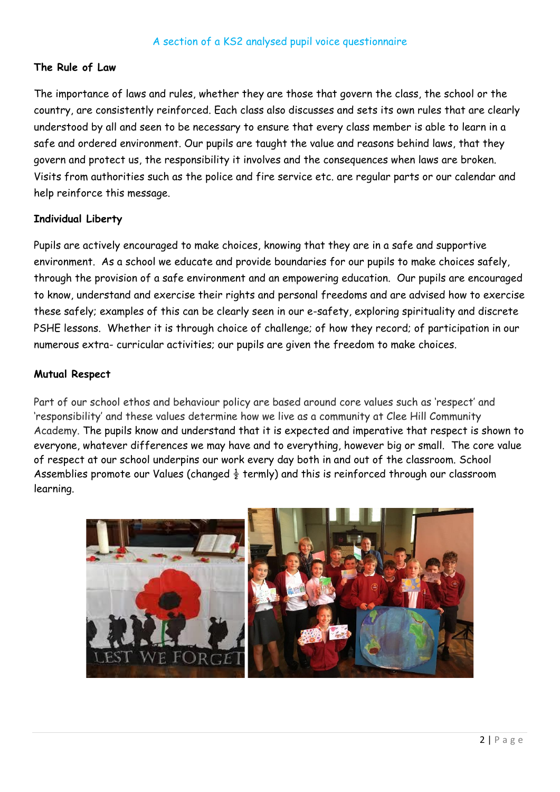## **The Rule of Law**

The importance of laws and rules, whether they are those that govern the class, the school or the country, are consistently reinforced. Each class also discusses and sets its own rules that are clearly understood by all and seen to be necessary to ensure that every class member is able to learn in a safe and ordered environment. Our pupils are taught the value and reasons behind laws, that they govern and protect us, the responsibility it involves and the consequences when laws are broken. Visits from authorities such as the police and fire service etc. are regular parts or our calendar and help reinforce this message.

#### **Individual Liberty**

Pupils are actively encouraged to make choices, knowing that they are in a safe and supportive environment. As a school we educate and provide boundaries for our pupils to make choices safely, through the provision of a safe environment and an empowering education. Our pupils are encouraged to know, understand and exercise their rights and personal freedoms and are advised how to exercise these safely; examples of this can be clearly seen in our e-safety, exploring spirituality and discrete PSHE lessons. Whether it is through choice of challenge; of how they record; of participation in our numerous extra- curricular activities; our pupils are given the freedom to make choices.

#### **Mutual Respect**

Part of our school ethos and behaviour policy are based around core values such as 'respect' and 'responsibility' and these values determine how we live as a community at Clee Hill Community Academy. The pupils know and understand that it is expected and imperative that respect is shown to everyone, whatever differences we may have and to everything, however big or small. The core value of respect at our school underpins our work every day both in and out of the classroom. School Assemblies promote our Values (changed  $\frac{1}{2}$  termly) and this is reinforced through our classroom learning.

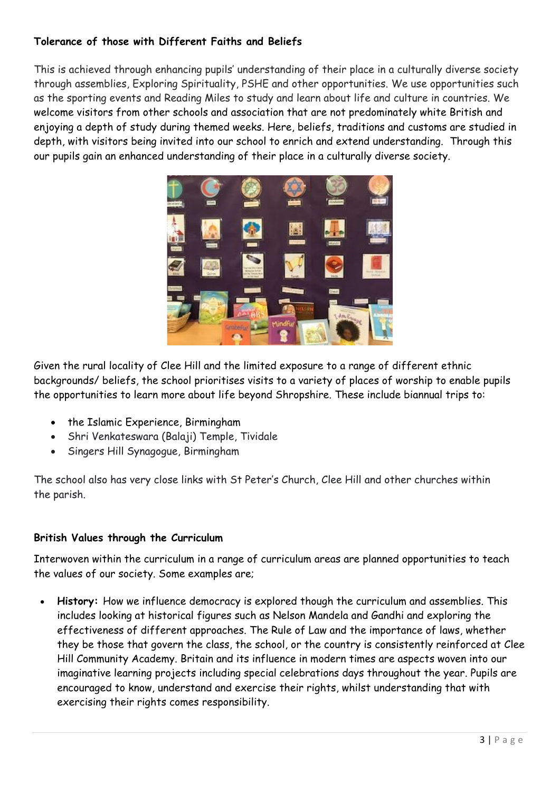# **Tolerance of those with Different Faiths and Beliefs**

This is achieved through enhancing pupils' understanding of their place in a culturally diverse society through assemblies, Exploring Spirituality, PSHE and other opportunities. We use opportunities such as the sporting events and Reading Miles to study and learn about life and culture in countries. We welcome visitors from other schools and association that are not predominately white British and enjoying a depth of study during themed weeks. Here, beliefs, traditions and customs are studied in depth, with visitors being invited into our school to enrich and extend understanding. Through this our pupils gain an enhanced understanding of their place in a culturally diverse society.



Given the rural locality of Clee Hill and the limited exposure to a range of different ethnic backgrounds/ beliefs, the school prioritises visits to a variety of places of worship to enable pupils the opportunities to learn more about life beyond Shropshire. These include biannual trips to:

- the Islamic Experience, Birmingham
- Shri Venkateswara (Balaji) Temple, Tividale
- Singers Hill Synagogue, Birmingham

The school also has very close links with St Peter's Church, Clee Hill and other churches within the parish.

## **British Values through the Curriculum**

Interwoven within the curriculum in a range of curriculum areas are planned opportunities to teach the values of our society. Some examples are;

• **History:** How we influence democracy is explored though the curriculum and assemblies. This includes looking at historical figures such as Nelson Mandela and Gandhi and exploring the effectiveness of different approaches. The Rule of Law and the importance of laws, whether they be those that govern the class, the school, or the country is consistently reinforced at Clee Hill Community Academy. Britain and its influence in modern times are aspects woven into our imaginative learning projects including special celebrations days throughout the year. Pupils are encouraged to know, understand and exercise their rights, whilst understanding that with exercising their rights comes responsibility.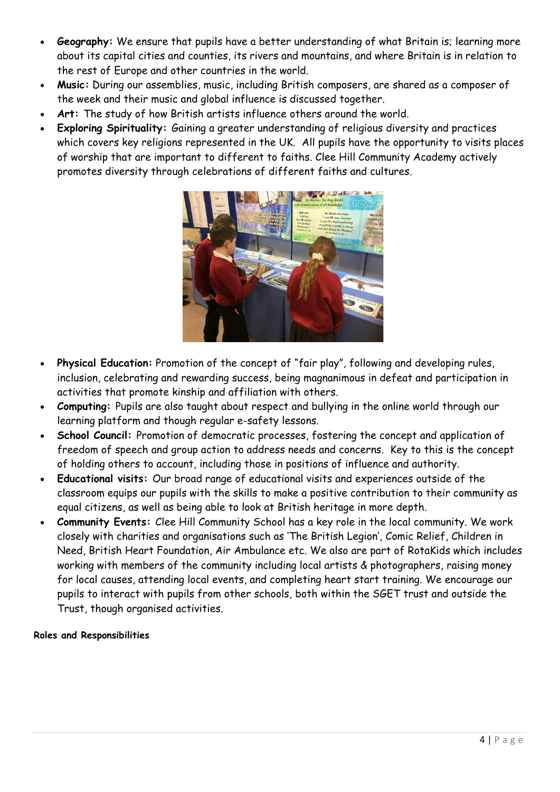- **Geography:** We ensure that pupils have a better understanding of what Britain is; learning more about its capital cities and counties, its rivers and mountains, and where Britain is in relation to the rest of Europe and other countries in the world.
- **Music:** During our assemblies, music, including British composers, are shared as a composer of the week and their music and global influence is discussed together.
- **Art:** The study of how British artists influence others around the world.
- **Exploring Spirituality:** Gaining a greater understanding of religious diversity and practices which covers key religions represented in the UK. All pupils have the opportunity to visits places of worship that are important to different to faiths. Clee Hill Community Academy actively promotes diversity through celebrations of different faiths and cultures.



- **Physical Education:** Promotion of the concept of "fair play", following and developing rules, inclusion, celebrating and rewarding success, being magnanimous in defeat and participation in activities that promote kinship and affiliation with others.
- **Computing:** Pupils are also taught about respect and bullying in the online world through our learning platform and though regular e-safety lessons.
- **School Council:** Promotion of democratic processes, fostering the concept and application of freedom of speech and group action to address needs and concerns. Key to this is the concept of holding others to account, including those in positions of influence and authority.
- **Educational visits:** Our broad range of educational visits and experiences outside of the classroom equips our pupils with the skills to make a positive contribution to their community as equal citizens, as well as being able to look at British heritage in more depth.
- **Community Events:** Clee Hill Community School has a key role in the local community. We work closely with charities and organisations such as 'The British Legion', Comic Relief, Children in Need, British Heart Foundation, Air Ambulance etc. We also are part of RotaKids which includes working with members of the community including local artists & photographers, raising money for local causes, attending local events, and completing heart start training. We encourage our pupils to interact with pupils from other schools, both within the SGET trust and outside the Trust, though organised activities.

### **Roles and Responsibilities**